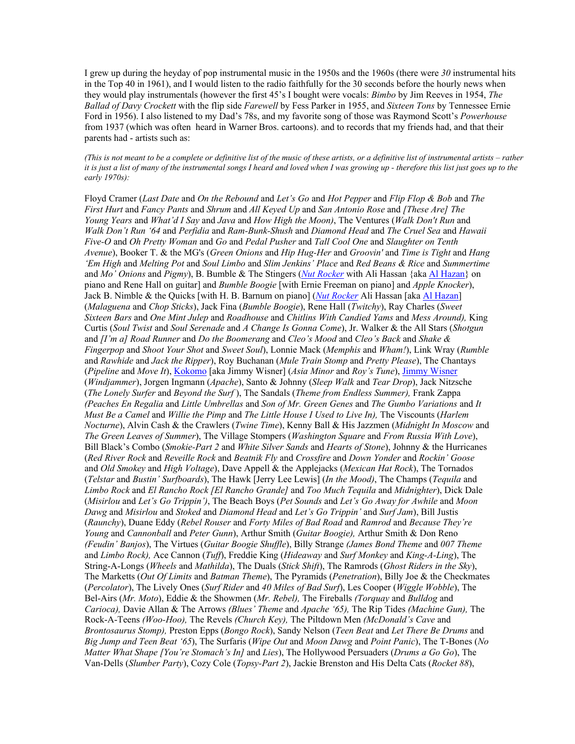I grew up during the heyday of pop instrumental music in the 1950s and the 1960s (there were *30* instrumental hits in the Top 40 in 1961), and I would listen to the radio faithfully for the 30 seconds before the hourly news when they would play instrumentals (however the first 45's I bought were vocals: *Bimbo* by Jim Reeves in 1954, *The Ballad of Davy Crockett* with the flip side *Farewell* by Fess Parker in 1955, and *Sixteen Tons* by Tennessee Ernie Ford in 1956). I also listened to my Dad's 78s, and my favorite song of those was Raymond Scott's *Powerhouse* from 1937 (which was often heard in Warner Bros. cartoons). and to records that my friends had, and that their parents had - artists such as:

*(This is not meant to be a complete or definitive list of the music of these artists, or a definitive list of instrumental artists – rather it is just a list of many of the instrumental songs I heard and loved when I was growing up - therefore this list just goes up to the early 1970s):*

Floyd Cramer (*Last Date* and *On the Rebound* and *Let's Go* and *Hot Pepper* and *Flip Flop & Bob* and *The First Hurt* and *Fancy Pants* and *Shrum* and *All Keyed Up* and *San Antonio Rose* and *[These Are] The Young Years* and *What'd I Say* and *Java* and *How High the Moon)*, The Ventures (*Walk Don't Run* and *Walk Don't Run '64* and *Perfidia* and *Ram-Bunk-Shush* and *Diamond Head* and *The Cruel Sea* and *Hawaii Five-O* and *Oh Pretty Woman* and *Go* and *Pedal Pusher* and *Tall Cool One* and *Slaughter on Tenth Avenue*), Booker T. & the MG's (*Green Onions* and *Hip Hug-Her* and *Groovin'* and *Time is Tight* and *Hang 'Em High* and *Melting Pot* and *Soul Limbo* and *Slim Jenkins' Place* and *Red Beans & Rice* and *Summertime*  and *Mo' Onions* and *Pigmy*), B. Bumble & The Stingers (*[Nut Rocker](http://www.spectropop.com/NutRocker/)* with Ali Hassan {aka [Al Hazan}](http://www.alhazan.com/) on piano and Rene Hall on guitar] and *Bumble Boogie* [with Ernie Freeman on piano] and *Apple Knocker*), Jack B. Nimble & the Quicks [with H. B. Barnum on piano] (*[Nut Rocker](http://www.spectropop.com/NutRocker/)* Ali Hassan [aka [Al Hazan\]](http://www.alhazan.com/) (*Malaguena* and *Chop Sticks*), Jack Fina (*Bumble Boogie*), Rene Hall (*Twitchy*), Ray Charles (*Sweet Sixteen Bars* and *One Mint Julep* and *Roadhouse* and *Chitlins With Candied Yams* and *Mess Around),* King Curtis (*Soul Twist* and *Soul Serenade* and *A Change Is Gonna Come*), Jr. Walker & the All Stars (*Shotgun*  and *[I'm a] Road Runner* and *Do the Boomerang* and *Cleo's Mood* and *Cleo's Back* and *Shake & Fingerpop* and *Shoot Your Shot* and *Sweet Soul*), Lonnie Mack (*Memphis* and *Wham!*), Link Wray (*Rumble* and *Rawhide* and *Jack the Ripper*), Roy Buchanan (*Mule Train Stomp* and *Pretty Please*), The Chantays (*Pipeline* and *Move It*), [Kokomo](http://www.blackcat.nl/blackcat/) [aka Jimmy Wisner] (*Asia Minor* and *Roy's Tune*)[, Jimmy Wisner](http://www.blackcat.nl/blackcat/) (*Windjammer*), Jorgen Ingmann (*Apache*), Santo & Johnny (*Sleep Walk* and *Tear Drop*), Jack Nitzsche (*The Lonely Surfer* and *Beyond the Surf* ), The Sandals (*Theme from Endless Summer),* Frank Zappa *(Peaches En Regalia* and *Little Umbrellas* and *Son of Mr. Green Genes* and *The Gumbo Variations* and *It Must Be a Camel* and *Willie the Pimp* and *The Little House I Used to Live In),* The Viscounts (*Harlem Nocturne*), Alvin Cash & the Crawlers (*Twine Time*), Kenny Ball & His Jazzmen (*Midnight In Moscow* and *The Green Leaves of Summer*), The Village Stompers (*Washington Square* and *From Russia With Love*), Bill Black's Combo (*Smokie-Part 2* and *White Silver Sands* and *Hearts of Stone*), Johnny & the Hurricanes (*Red River Rock* and *Reveille Rock* and *Beatnik Fly* and *Crossfire* and *Down Yonder* and *Rockin' Goose*  and *Old Smokey* and *High Voltage*), Dave Appell & the Applejacks (*Mexican Hat Rock*), The Tornados (*Telstar* and *Bustin' Surfboards*), The Hawk [Jerry Lee Lewis] (*In the Mood)*, The Champs (*Tequila* and *Limbo Rock* and *El Rancho Rock [El Rancho Grande]* and *Too Much Tequila* and *Midnighter*), Dick Dale (*Misirlou* and *Let's Go Trippin')*, The Beach Boys (*Pet Sounds* and *Let's Go Away for Awhile* and *Moon Dawg* and *Misirlou* and *Stoked* and *Diamond Head* and *Let's Go Trippin'* and *Surf Jam*), Bill Justis (*Raunchy*), Duane Eddy (*Rebel Rouser* and *Forty Miles of Bad Road* and *Ramrod* and *Because They're Young* and *Cannonball* and *Peter Gunn*), Arthur Smith (*Guitar Boogie),* Arthur Smith & Don Reno *(Feudin' Banjos*), The Virtues (*Guitar Boogie Shuffle*), Billy Strange *(James Bond Theme* and *007 Theme* and *Limbo Rock),* Ace Cannon (*Tuff*), Freddie King (*Hideaway* and *Surf Monkey* and *King-A-Ling*), The String-A-Longs (*Wheels* and *Mathilda*), The Duals (*Stick Shift*), The Ramrods (*Ghost Riders in the Sky*), The Marketts (*Out Of Limits* and *Batman Theme*), The Pyramids (*Penetration*), Billy Joe & the Checkmates (*Percolator*), The Lively Ones (*Surf Rider* and *40 Miles of Bad Surf*), Les Cooper (*Wiggle Wobble*), The Bel-Airs (*Mr. Moto*), Eddie & the Showmen (*Mr. Rebel),* The Fireballs *(Torquay* and *Bulldog* and *Carioca),* Davie Allan & The Arrows *(Blues' Theme* and *Apache '65),* The Rip Tides *(Machine Gun),* The Rock-A-Teens *(Woo-Hoo),* The Revels *(Church Key),* The Piltdown Men *(McDonald's Cave* and *Brontosaurus Stomp),* Preston Epps (*Bongo Rock*), Sandy Nelson (*Teen Beat* and *Let There Be Drums* and *Big Jump and Teen Beat '65*), The Surfaris (*Wipe Out* and *Moon Dawg* and *Point Panic*), The T-Bones (*No Matter What Shape [You're Stomach's In]* and *Lies*), The Hollywood Persuaders (*Drums a Go Go*), The Van-Dells (*Slumber Party*), Cozy Cole (*Topsy-Part 2*), Jackie Brenston and His Delta Cats (*Rocket 88*),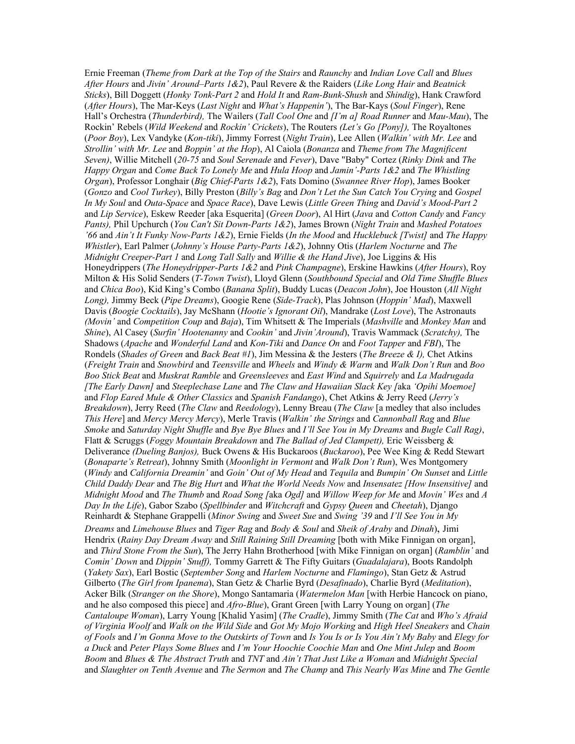Ernie Freeman (*Theme from Dark at the Top of the Stairs* and *Raunchy* and *Indian Love Call* and *Blues After Hours* and *Jivin' Around–Parts 1&2*), Paul Revere & the Raiders (*Like Long Hair* and *Beatnick Sticks*), Bill Doggett (*Honky Tonk-Part 2* and *Hold It* and *Ram-Bunk-Shush* and *Shindig*), Hank Crawford (*After Hours*), The Mar-Keys (*Last Night* and *What's Happenin'*), The Bar-Kays (*Soul Finger*), Rene Hall's Orchestra (*Thunderbird),* The Wailers (*Tall Cool One* and *[I'm a] Road Runner* and *Mau-Mau*), The Rockin' Rebels (*Wild Weekend* and *Rockin' Crickets*), The Routers *(Let's Go [Pony]),* The Royaltones (*Poor Boy*), Lex Vandyke (*Kon-tiki*), Jimmy Forrest (*Night Train*), Lee Allen (*Walkin' with Mr. Lee* and *Strollin' with Mr. Lee* and *Boppin' at the Hop*), Al Caiola (*Bonanza* and *Theme from The Magnificent Seven)*, Willie Mitchell (*20-75* and *Soul Serenade* and *Fever*), Dave "Baby" Cortez (*Rinky Dink* and *The Happy Organ* and *Come Back To Lonely Me* and *Hula Hoop* and *Jamin'-Parts 1&2* and *The Whistling Organ*), Professor Longhair (*Big Chief*-*Parts 1&2*), Fats Domino (*Swannee River Hop*), James Booker (*Gonzo* and *Cool Turkey*), Billy Preston (*Billy's Bag* and *Don't Let the Sun Catch You Crying* and *Gospel In My Soul* and *Outa-Space* and *Space Race*), Dave Lewis (*Little Green Thing* and *David's Mood-Part 2*  and *Lip Service*), Eskew Reeder [aka Esquerita] (*Green Door*), Al Hirt (*Java* and *Cotton Candy* and *Fancy Pants),* Phil Upchurch (*You Can't Sit Down-Parts 1&2*), James Brown (*Night Train* and *Mashed Potatoes '66* and *Ain't It Funky Now-Parts 1&2*), Ernie Fields (*In the Mood* and *Hucklebuck [Twist]* and *The Happy Whistler*), Earl Palmer (*Johnny's House Party-Parts 1&2*), Johnny Otis (*Harlem Nocturne* and *The Midnight Creeper-Part 1* and *Long Tall Sally* and *Willie & the Hand Jive*), Joe Liggins & His Honeydrippers (*The Honeydripper-Parts 1&2* and *Pink Champagne*), Erskine Hawkins (*After Hours*), Roy Milton & His Solid Senders (*T-Town Twist*), Lloyd Glenn (*Southbound Special* and *Old Time Shuffle Blues*  and *Chica Boo*), Kid King's Combo (*Banana Split*), Buddy Lucas (*Deacon John*), Joe Houston (*All Night Long),* Jimmy Beck (*Pipe Dreams*), Googie Rene (*Side-Track*), Plas Johnson (*Hoppin' Mad*), Maxwell Davis (*Boogie Cocktails*), Jay McShann (*Hootie's Ignorant Oil*), Mandrake (*Lost Love*), The Astronauts *(Movin'* and *Competition Coup* and *Baja*), Tim Whitsett & The Imperials (*Mashville* and *Monkey Man* and *Shine*), Al Casey (*Surfin' Hootenanny* and *Cookin'* and *Jivin'Around*), Travis Wammack (*Scratchy),* The Shadows (*Apache* and *Wonderful Land* and *Kon-Tiki* and *Dance On* and *Foot Tapper* and *FBI*), The Rondels (*Shades of Green* and *Back Beat #1*), Jim Messina & the Jesters (*The Breeze & I),* Chet Atkins (*Freight Train* and *Snowbird* and *Teensville* and *Wheels* and *Windy & Warm* and *Walk Don't Run* and *Boo Boo Stick Beat* and *Muskrat Ramble* and *Greensleeves* and *East Wind* and *Squirrely* and *La Madrugada [The Early Dawn]* and *Steeplechase Lane* and *The Claw and Hawaiian Slack Key [*aka *'Opihi Moemoe]*  and *Flop Eared Mule & Other Classics* and *Spanish Fandango*), Chet Atkins & Jerry Reed (*Jerry's Breakdown*), Jerry Reed (*The Claw* and *Reedology*), Lenny Breau (*The Claw* [a medley that also includes *This Here*] and *Mercy Mercy Mercy*), Merle Travis (*Walkin' the Strings* and *Cannonball Rag* and *Blue Smoke* and *Saturday Night Shuffle* and *Bye Bye Blues* and *I'll See You in My Dreams* and *Bugle Call Rag)*, Flatt & Scruggs (*Foggy Mountain Breakdown* and *The Ballad of Jed Clampett),* Eric Weissberg & Deliverance *(Dueling Banjos),* Buck Owens & His Buckaroos (*Buckaroo*), Pee Wee King & Redd Stewart (*Bonaparte's Retreat*), Johnny Smith (*Moonlight in Vermont* and *Walk Don't Run*), Wes Montgomery (*Windy* and *California Dreamin'* and *Goin' Out of My Head* and *Tequila* and *Bumpin' On Sunset* and *Little Child Daddy Dear* and *The Big Hurt* and *What the World Needs Now* and *Insensatez [How Insensitive]* and *Midnight Mood* and *The Thumb* and *Road Song [*aka *Ogd]* and *Willow Weep for Me* and *Movin' Wes* and *A Day In the Life*), Gabor Szabo (*Spellbinder* and *Witchcraft* and *Gypsy Queen* and *Cheetah*), Django Reinhardt & Stephane Grappelli (*Minor Swing* and *Sweet Sue* and *Swing '39* and *I'll See You in My Dreams* and *Limehouse Blues* and *Tiger Rag* and *Body & Soul* and *Sheik of Araby* and *Dinah*), Jimi Hendrix (*Rainy Day Dream Away* and *Still Raining Still Dreaming* [both with Mike Finnigan on organ], and *Third Stone From the Sun*), The Jerry Hahn Brotherhood [with Mike Finnigan on organ] (*Ramblin'* and *Comin' Down* and *Dippin' Snuff),* Tommy Garrett & The Fifty Guitars (*Guadalajara*), Boots Randolph (*Yakety Sax*), Earl Bostic (*September Song* and *Harlem Nocturne* and *Flamingo*), Stan Getz & Astrud Gilberto (*The Girl from Ipanema*), Stan Getz & Charlie Byrd (*Desafinado*), Charlie Byrd (*Meditation*), Acker Bilk (*Stranger on the Shore*), Mongo Santamaria (*Watermelon Man* [with Herbie Hancock on piano, and he also composed this piece] and *Afro-Blue*), Grant Green [with Larry Young on organ] (*The Cantaloupe Woman*), Larry Young [Khalid Yasim] (*The Cradle*), Jimmy Smith (*The Cat* and *Who's Afraid of Virginia Woolf* and *Walk on the Wild Side* and *Got My Mojo Working* and *High Heel Sneakers* and *Chain of Fools* and *I'm Gonna Move to the Outskirts of Town* and *Is You Is or Is You Ain't My Baby* and *Elegy for a Duck* and *Peter Plays Some Blues* and *I'm Your Hoochie Coochie Man* and *One Mint Julep* and *Boom Boom* and *Blues & The Abstract Truth* and *TNT* and *Ain't That Just Like a Woman* and *Midnight Special*  and *Slaughter on Tenth Avenue* and *The Sermon* and *The Champ* and *This Nearly Was Mine* and *The Gentle*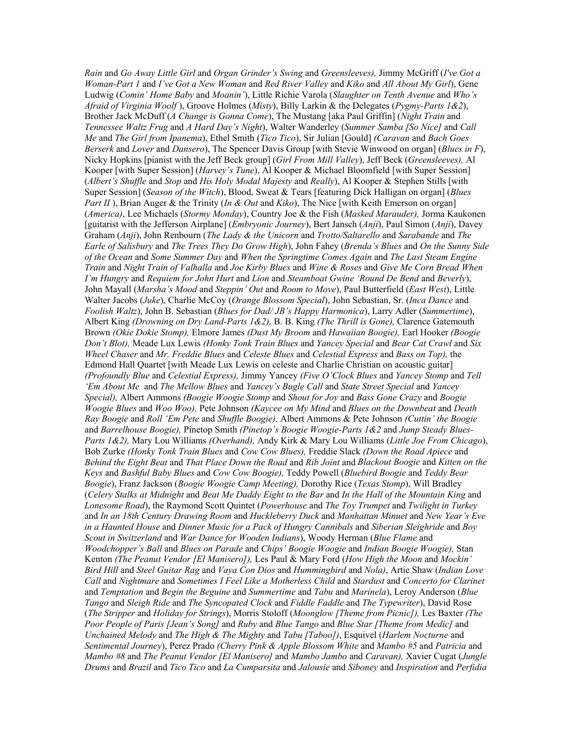*Rain* and *Go Away Little Girl* and *Organ Grinder's Swing* and *Greensleeves),* Jimmy McGriff (*I've Got a Woman-Part 1* and *I've Got a New Woman* and *Red River Valley* and *Kiko* and *All About My Girl*), Gene Ludwig (*Comin' Home Baby* and *Moanin'*), Little Richie Varola (*Slaughter on Tenth Avenue* and *Who's Afraid of Virginia Woolf* ), Groove Holmes (*Misty*), Billy Larkin & the Delegates (*Pygmy-Parts 1&2*), Brother Jack McDuff (*A Change is Gonna Come*), The Mustang [aka Paul Griffin] (*Night Train* and *Tennessee Waltz Frug* and *A Hard Day's Night*), Walter Wanderley (*Summer Samba [So Nice]* and *Call Me* and *The Girl from Ipanema*), Ethel Smith (*Tico Tico*), Sir Julian [Gould] *(Caravan* and *Bach Goes Berserk* and *Lover* and *Dansero*), The Spencer Davis Group [with Stevie Winwood on organ] (*Blues in F*), Nicky Hopkins [pianist with the Jeff Beck group] (*Girl From Mill Valley*), Jeff Beck (*Greensleeves),* Al Kooper [with Super Session] (*Harvey's Tune*), Al Kooper & Michael Bloomfield [with Super Session] (*Albert's Shuffle* and *Stop* and *His Holy Modal Majesty* and *Really*), Al Kooper & Stephen Stills [with Super Session] (*Season of the Witch*), Blood, Sweat & Tears [featuring Dick Halligan on organ] (*Blues Part II* ), Brian Auger & the Trinity (*In & Out* and *Kiko*), The Nice [with Keith Emerson on organ] (*America)*, Lee Michaels (*Stormy Monday*), Country Joe & the Fish (*Masked Marauder),* Jorma Kaukonen [guitarist with the Jefferson Airplane] (*Embryonic Journey*), Bert Jansch (*Anji*), Paul Simon (*Anji*), Davey Graham (*Anji*), John Renbourn (*The Lady & the Unicorn* and *Trotto/Saltarello* and *Sarabande* and *The Earle of Salisbury* and *The Trees They Do Grow High*), John Fahey (*Brenda's Blues* and *On the Sunny Side of the Ocean* and *Some Summer Day* and *When the Springtime Comes Again* and *The Last Steam Engine Train* and *Night Train of Valhalla* and *Joe Kirby Blues* and *Wine & Roses* and *Give Me Corn Bread When I'm Hungry* and *Requiem for John Hurt* and *Lion* and *Steamboat Gwine 'Round De Bend* and *Beverly*), John Mayall (*Marsha's Mood* and *Steppin' Out* and *Room to Move*), Paul Butterfield (*East West*), Little Walter Jacobs (*Juke*), Charlie McCoy (*Orange Blossom Special*), John Sebastian, Sr. (*Inca Dance* and *Foolish Waltz*), John B. Sebastian (*Blues for Dad/ JB's Happy Harmonica*), Larry Adler (*Summertime*), Albert King *(Drowning on Dry Land-Parts 1&2),* B. B. King *(The Thrill is Gone),* Clarence Gatemouth Brown *(Okie Dokie Stomp),* Elmore James *(Dust My Broom* and *Hawaiian Boogie),* Earl Hooker *(Boogie Don't Blot),* Meade Lux Lewis *(Honky Tonk Train Blues* and *Yancey Special* and *Bear Cat Crawl* and *Six Wheel Chaser* and *Mr. Freddie Blues* and *Celeste Blues* and *Celestial Express* and *Bass on Top),* the Edmond Hall Quartet [with Meade Lux Lewis on celeste and Charlie Christian on acoustic guitar] *(Profoundly Blue* and *Celestial Express),* Jimmy Yancey *(Five O'Clock Blues* and *Yancey Stomp* and *Tell 'Em About Me* and *The Mellow Blues* and *Yancey's Bugle Call* and *State Street Special* and *Yancey Special),* Albert Ammons *(Boogie Woogie Stomp* and *Shout for Joy* and *Bass Gone Crazy* and *Boogie Woogie Blues* and *Woo Woo),* Pete Johnson *(Kaycee on My Mind* and *Blues on the Downbeat* and *Death Ray Boogie* and *Roll 'Em Pete* and *Shuffle Boogie),* Albert Ammons & Pete Johnson *(Cuttin' the Boogie*  and *Barrelhouse Boogie),* Pinetop Smith *(Pinetop's Boogie Woogie-Parts 1&2* and *Jump Steady Blues-Parts 1&2),* Mary Lou Williams *(Overhand),* Andy Kirk & Mary Lou Williams (*Little Joe From Chicago*), Bob Zurke *(Honky Tonk Train Blues* and *Cow Cow Blues),* Freddie Slack *(Down the Road Apiece* and *Behind the Eight Beat* and *That Place Down the Road* and *Rib Joint* and *Blackout Boogie* and *Kitten on the Keys* and *Bashful Baby Blues* and *Cow Cow Boogie),* Teddy Powell (*Bluebird Boogie* and *Teddy Bear Boogie*), Franz Jackson (*Boogie Woogie Camp Meeting),* Dorothy Rice (*Texas Stomp*), Will Bradley (*Celery Stalks at Midnight* and *Beat Me Daddy Eight to the Bar* and *In the Hall of the Mountain King* and *Lonesome Road*), the Raymond Scott Quintet (*Powerhouse* and *The Toy Trumpet* and *Twilight in Turkey*  and *In an 18th Century Drawing Room* and *Huckleberry Duck* and *Manhattan Minuet* and *New Year's Eve in a Haunted House* and *Dinner Music for a Pack of Hungry Cannibals* and *Siberian Sleighride* and *Boy Scout in Switzerland* and *War Dance for Wooden Indians*), Woody Herman (*Blue Flame* and *Woodchopper's Ball* and *Blues on Parade* and *Chips' Boogie Woogie* and *Indian Boogie Woogie),* Stan Kenton *(The Peanut Vendor [El Manisero]),* Les Paul & Mary Ford (*How High the Moon* and *Mockin' Bird Hill* and *Steel Guitar Rag* and *Vaya Con Dios* and *Hummingbird* and *Nola)*, Artie Shaw (*Indian Love Call* and *Nightmare* and *Sometimes I Feel Like a Motherless Child* and *Stardust* and *Concerto for Clarinet*  and *Temptation* and *Begin the Beguine* and *Summertime* and *Tabu* and *Marinela*), Leroy Anderson (*Blue Tango* and *Sleigh Ride* and *The Syncopated Clock* and *Fiddle Faddle* and *The Typewriter*), David Rose (*The Stripper* and *Holiday for Strings*), Morris Stoloff (*Moonglow [Theme from Picnic]),* Les Baxter *(The Poor People of Paris [Jean's Song]* and *Ruby* and *Blue Tango* and *Blue Star [Theme from Medic]* and *Unchained Melody* and *The High & The Mighty* and *Tabu [Taboo])*, Esquivel (*Harlem Nocturne* and *Sentimental Journey*), Perez Prado *(Cherry Pink & Apple Blossom White* and *Mambo #5* and *Patricia* and *Mambo #8* and *The Peanut Vendor [El Manisero]* and *Mambo Jambo* and *Caravan),* Xavier Cugat (*Jungle Drums* and *Brazil* and *Tico Tico* and *La Cumparsita* and *Jalousie* and *Siboney* and *Inspiration* and *Perfidia*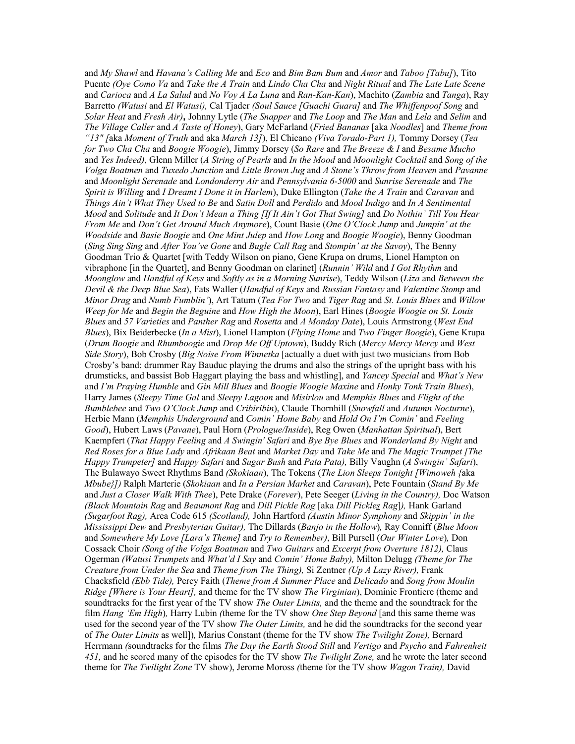and *My Shawl* and *Havana's Calling Me* and *Eco* and *Bim Bam Bum* and *Amor* and *Taboo [Tabu]*), Tito Puente *(Oye Como Va* and *Take the A Train* and *Lindo Cha Cha* and *Night Ritual* and *The Late Late Scene*  and *Carioca* and *A La Salud* and *No Voy A La Luna* and *Ran-Kan-Kan*), Machito (*Zambia* and *Tanga*), Ray Barretto *(Watusi* and *El Watusi),* Cal Tjader *(Soul Sauce [Guachi Guara]* and *The Whiffenpoof Song* and *Solar Heat* and *Fresh Air)***,** Johnny Lytle (*The Snapper* and *The Loop* and *The Man* and *Lela* and *Selim* and *The Village Caller* and *A Taste of Honey*), Gary McFarland (*Fried Bananas* [aka *Noodles*] and *Theme from "13" [*aka *Moment of Truth* and aka *March 13]*), El Chicano *(Viva Torado-Part 1),* Tommy Dorsey (*Tea for Two Cha Cha* and *Boogie Woogie*), Jimmy Dorsey (*So Rare* and *The Breeze & I* and *Besame Mucho* and *Yes Indeed)*, Glenn Miller (*A String of Pearls* and *In the Mood* and *Moonlight Cocktail* and *Song of the Volga Boatmen* and *Tuxedo Junction* and *Little Brown Jug* and *A Stone's Throw from Heaven* and *Pavanne* and *Moonlight Serenade* and *Londonderry Air* and *Pennsylvania 6-5000* and *Sunrise Serenade* and *The Spirit is Willing* and *I Dreamt I Done it in Harlem*), Duke Ellington (*Take the A Train* and *Caravan* and *Things Ain't What They Used to Be* and *Satin Doll* and *Perdido* and *Mood Indigo* and *In A Sentimental Mood* and *Solitude* and *It Don't Mean a Thing [If It Ain't Got That Swing]* and *Do Nothin' Till You Hear From Me* and *Don't Get Around Much Anymore*), Count Basie (*One O'Clock Jump* and *Jumpin' at the Woodside* and *Basie Boogie* and *One Mint Julep* and *How Long* and *Boogie Woogie*), Benny Goodman (*Sing Sing Sing* and *After You've Gone* and *Bugle Call Rag* and *Stompin' at the Savoy*), The Benny Goodman Trio & Quartet [with Teddy Wilson on piano, Gene Krupa on drums, Lionel Hampton on vibraphone [in the Quartet], and Benny Goodman on clarinet] (*Runnin' Wild* and *I Got Rhythm* and *Moonglow* and *Handful of Keys* and *Softly as in a Morning Sunrise*), Teddy Wilson (*Liza* and *Between the Devil & the Deep Blue Sea*), Fats Waller (*Handful of Keys* and *Russian Fantasy* and *Valentine Stomp* and *Minor Drag* and *Numb Fumblin'*), Art Tatum (*Tea For Two* and *Tiger Rag* and *St. Louis Blues* and *Willow Weep for Me* and *Begin the Beguine* and *How High the Moon*), Earl Hines (*Boogie Woogie on St. Louis Blues* and *57 Varieties* and *Panther Rag* and *Rosetta* and *A Monday Date*), Louis Armstrong (*West End Blues*), Bix Beiderbecke (*In a Mist*), Lionel Hampton (*Flying Home* and *Two Finger Boogie*), Gene Krupa (*Drum Boogie* and *Rhumboogie* and *Drop Me Off Uptown*), Buddy Rich (*Mercy Mercy Mercy* and *West Side Story*), Bob Crosby (*Big Noise From Winnetka* [actually a duet with just two musicians from Bob Crosby's band: drummer Ray Bauduc playing the drums and also the strings of the upright bass with his drumsticks, and bassist Bob Haggart playing the bass and whistling], and *Yancey Special* and *What's New* and *I'm Praying Humble* and *Gin Mill Blues* and *Boogie Woogie Maxine* and *Honky Tonk Train Blues*), Harry James (*Sleepy Time Gal* and *Sleepy Lagoon* and *Misirlou* and *Memphis Blues* and *Flight of the Bumblebee* and *Two O'Clock Jump* and *Cribiribin*), Claude Thornhill (*Snowfall* and *Autumn Nocturne*), Herbie Mann (*Memphis Underground* and *Comin' Home Baby* and *Hold On I'm Comin'* and *Feeling Good*), Hubert Laws (*Pavane*), Paul Horn (*Prologue/Inside*), Reg Owen (*Manhattan Spiritual*), Bert Kaempfert (*That Happy Feeling* and *A Swingin' Safari* and *Bye Bye Blues* and *Wonderland By Night* and *Red Roses for a Blue Lady* and *Afrikaan Beat* and *Market Day* and *Take Me* and *The Magic Trumpet [The Happy Trumpeter]* and *Happy Safari* and *Sugar Bush* and *Pata Pata),* Billy Vaughn (*A Swingin' Safari*), The Bulawayo Sweet Rhythms Band *(Skokiaan*), The Tokens (*The Lion Sleeps Tonight [Wimoweh {*aka *Mbube}])* Ralph Marterie (*Skokiaan* and *In a Persian Market* and *Caravan*), Pete Fountain (*Stand By Me* and *Just a Closer Walk With Thee*), Pete Drake (*Forever*), Pete Seeger (*Living in the Country),* Doc Watson *(Black Mountain Rag* and *Beaumont Rag* and *Dill Pickle Rag* [aka *Dill Pickles Rag*]*),* Hank Garland *(Sugarfoot Rag),* Area Code 615 *(Scotland),* John Hartford *(Austin Minor Symphony* and *Skippin' in the Mississippi Dew* and *Presbyterian Guitar),* The Dillards (*Banjo in the Hollow*)*,* Ray Conniff (*Blue Moon* and *Somewhere My Love [Lara's Theme]* and *Try to Remember)*, Bill Pursell (*Our Winter Love*)*,* Don Cossack Choir *(Song of the Volga Boatman* and *Two Guitars* and *Excerpt from Overture 1812),* Claus Ogerman *(Watusi Trumpets* and *What'd I Say* and *Comin' Home Baby),* Milton Delugg *(Theme for The Creature from Under the Sea* and *Theme from The Thing),* Si Zentner *(Up A Lazy River),* Frank Chacksfield *(Ebb Tide),* Percy Faith (*Theme from A Summer Place* and *Delicado* and *Song from Moulin Ridge [Where is Your Heart],* and theme for the TV show *The Virginian*), Dominic Frontiere (theme and soundtracks for the first year of the TV show *The Outer Limits,* and the theme and the soundtrack for the film *Hang 'Em High*)*,* Harry Lubin *(*theme for the TV show *One Step Beyond* [and this same theme was used for the second year of the TV show *The Outer Limits,* and he did the soundtracks for the second year of *The Outer Limits* as well])*,* Marius Constant (theme for the TV show *The Twilight Zone),* Bernard Herrmann *(*soundtracks for the films *The Day the Earth Stood Still* and *Vertigo* and *Psycho* and *Fahrenheit 451,* and he scored many of the episodes for the TV show *The Twilight Zone,* and he wrote the later second theme for *The Twilight Zone* TV show), Jerome Moross *(*theme for the TV show *Wagon Train),* David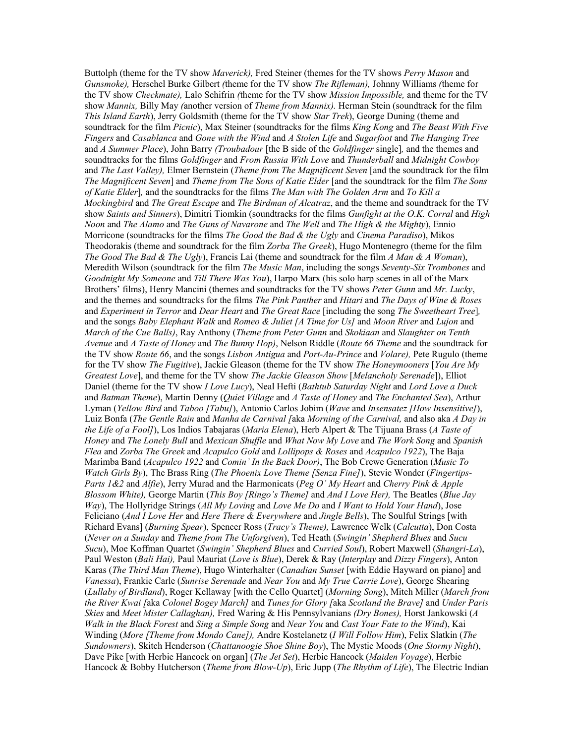Buttolph (theme for the TV show *Maverick),* Fred Steiner (themes for the TV shows *Perry Mason* and *Gunsmoke),* Herschel Burke Gilbert *(*theme for the TV show *The Rifleman),* Johnny Williams *(*theme for the TV show *Checkmate),* Lalo Schifrin *(*theme for the TV show *Mission Impossible,* and theme for the TV show *Mannix,* Billy May *(*another version of *Theme from Mannix).* Herman Stein (soundtrack for the film *This Island Earth*), Jerry Goldsmith (theme for the TV show *Star Trek*), George Duning (theme and soundtrack for the film *Picnic*), Max Steiner (soundtracks for the films *King Kong* and *The Beast With Five Fingers* and *Casablanca* and *Gone with the Wind* and *A Stolen Life* and *Sugarfoot* and *The Hanging Tree*  and *A Summer Place*), John Barry *(Troubadour* [the B side of the *Goldfinger* single]*,* and the themes and soundtracks for the films *Goldfinger* and *From Russia With Love* and *Thunderball* and *Midnight Cowboy*  and *The Last Valley),* Elmer Bernstein (*Theme from The Magnificent Seven* [and the soundtrack for the film *The Magnificent Seven*] and *Theme from The Sons of Katie Elder* [and the soundtrack for the film *The Sons of Katie Elder*]*,* and the soundtracks for the films *The Man with The Golden Arm* and *To Kill a Mockingbird* and *The Great Escape* and *The Birdman of Alcatraz*, and the theme and soundtrack for the TV show *Saints and Sinners*), Dimitri Tiomkin (soundtracks for the films *Gunfight at the O.K. Corral* and *High Noon* and *The Alamo* and *The Guns of Navarone* and *The Well* and *The High & the Mighty*), Ennio Morricone (soundtracks for the films *The Good the Bad & the Ugly* and *Cinema Paradiso*), Mikos Theodorakis (theme and soundtrack for the film *Zorba The Greek*), Hugo Montenegro (theme for the film *The Good The Bad & The Ugly*), Francis Lai (theme and soundtrack for the film *A Man & A Woman*), Meredith Wilson (soundtrack for the film *The Music Man*, including the songs *Seventy-Six Trombones* and *Goodnight My Someone* and *Till There Was You*), Harpo Marx (his solo harp scenes in all of the Marx Brothers' films), Henry Mancini (themes and soundtracks for the TV shows *Peter Gunn* and *Mr. Lucky*, and the themes and soundtracks for the films *The Pink Panther* and *Hitari* and *The Days of Wine & Roses*  and *Experiment in Terror* and *Dear Heart* and *The Great Race* [including the song *The Sweetheart Tree*]*,* and the songs *Baby Elephant Walk* and *Romeo & Juliet [A Time for Us]* and *Moon River* and *Lujon* and *March of the Cue Balls)*, Ray Anthony (*Theme from Peter Gunn* and *Skokiaan* and *Slaughter on Tenth Avenue* and *A Taste of Honey* and *The Bunny Hop)*, Nelson Riddle (*Route 66 Theme* and the soundtrack for the TV show *Route 66*, and the songs *Lisbon Antigua* and *Port-Au-Prince* and *Volare),* Pete Rugulo (theme for the TV show *The Fugitive*), Jackie Gleason (theme for the TV show *The Honeymooners* [*You Are My Greatest Love*], and theme for the TV show *The Jackie Gleason Show* [*Melancholy Serenade*]), Elliot Daniel (theme for the TV show *I Love Lucy*), Neal Hefti (*Bathtub Saturday Night* and *Lord Love a Duck*  and *Batman Theme*), Martin Denny (*Quiet Village* and *A Taste of Honey* and *The Enchanted Sea*), Arthur Lyman (*Yellow Bird* and *Taboo [Tabu]*), Antonio Carlos Jobim (*Wave* and *Insensatez [How Insensitive]*), Luiz Bonfa (*The Gentle Rain* and *Manha de Carnival [*aka *Morning of the Carnival,* and also aka *A Day in the Life of a Fool]*), Los Indios Tabajaras (*Maria Elena*), Herb Alpert & The Tijuana Brass (*A Taste of Honey* and *The Lonely Bull* and *Mexican Shuffle* and *What Now My Love* and *The Work Song* and *Spanish Flea* and *Zorba The Greek* and *Acapulco Gold* and *Lollipops & Roses* and *Acapulco 1922*), The Baja Marimba Band (*Acapulco 1922* and *Comin' In the Back Door)*, The Bob Crewe Generation (*Music To Watch Girls By*), The Brass Ring (*The Phoenix Love Theme [Senza Fine]*), Stevie Wonder (*Fingertips-Parts 1&2* and *Alfie*), Jerry Murad and the Harmonicats (*Peg O' My Heart* and *Cherry Pink & Apple Blossom White),* George Martin (*This Boy [Ringo's Theme]* and *And I Love Her),* The Beatles (*Blue Jay Way*), The Hollyridge Strings (*All My Loving* and *Love Me Do* and *I Want to Hold Your Hand*), Jose Feliciano (*And I Love Her* and *Here There & Everywhere* and *Jingle Bells*), The Soulful Strings [with Richard Evans] (*Burning Spear*), Spencer Ross (*Tracy's Theme),* Lawrence Welk (*Calcutta*), Don Costa (*Never on a Sunday* and *Theme from The Unforgiven*), Ted Heath (*Swingin' Shepherd Blues* and *Sucu Sucu*), Moe Koffman Quartet (*Swingin' Shepherd Blues* and *Curried Soul*), Robert Maxwell (*Shangri-La*), Paul Weston (*Bali Hai),* Paul Mauriat (*Love is Blue*), Derek & Ray (*Interplay* and *Dizzy Fingers*), Anton Karas (*The Third Man Theme*), Hugo Winterhalter (*Canadian Sunset* [with Eddie Hayward on piano] and *Vanessa*), Frankie Carle (*Sunrise Serenade* and *Near You* and *My True Carrie Love*), George Shearing (*Lullaby of Birdland*), Roger Kellaway [with the Cello Quartet] (*Morning Song*), Mitch Miller (*March from the River Kwai [*aka *Colonel Bogey March]* and *Tunes for Glory [*aka *Scotland the Brave]* and *Under Paris Skies* and *Meet Mister Callaghan),* Fred Waring & His Pennsylvanians *(Dry Bones),* Horst Jankowski (*A Walk in the Black Forest* and *Sing a Simple Song* and *Near You* and *Cast Your Fate to the Wind*), Kai Winding (*More [Theme from Mondo Cane]),* Andre Kostelanetz (*I Will Follow Him*), Felix Slatkin (*The Sundowners*), Skitch Henderson (*Chattanoogie Shoe Shine Boy*), The Mystic Moods (*One Stormy Night*), Dave Pike [with Herbie Hancock on organ] (*The Jet Set*), Herbie Hancock (*Maiden Voyage*), Herbie Hancock & Bobby Hutcherson (*Theme from Blow-Up*), Eric Jupp (*The Rhythm of Life*), The Electric Indian